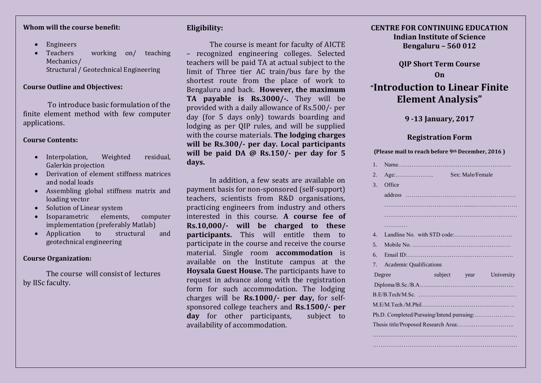#### **Whom will the course benefit:**

- Engineers
- Teachers working on/ teaching Mechanics/ Structural / Geotechnical Engineering

#### **Course Outline and Objectives:**

To introduce basic formulation of the finite element method with few computer applications.

#### **Course Contents:**

- Interpolation, Weighted residual, Galerkin projection
- Derivation of element stiffness matrices and nodal loads
- Assembling global stiffness matrix and loading vector
- Solution of Linear system
- Isoparametric elements, computer implementation (preferably Matlab)
- Application to structural and geotechnical engineering

#### **Course Organization:**

The course will consist of lectures by IISc faculty.

# **Eligibility:**

The course is meant for faculty of AICTE – recognized engineering colleges. Selected teachers will be paid TA at actual subject to the limit of Three tier AC train/bus fare by the shortest route from the place of work to Bengaluru and back. **However, the maximum TA payable is Rs.3000/-.** They will be provided with a daily allowance of Rs.500/- per day (for 5 days only) towards boarding and lodging as per QIP rules, and will be supplied with the course materials. **The lodging charges will be Rs.300/- per day. Local participants will be paid DA @ Rs.150/- per day for 5 days.** 

In addition, a few seats are available on payment basis for non-sponsored (self-support) teachers, scientists from R&D organisations, practicing engineers from industry and others interested in this course. **A course fee of Rs.10,000/- will be charged to these participants.** This will entitle them to participate in the course and receive the course material. Single room **accommodation** is available on the Institute campus at the **Hoysala Guest House.** The participants have to request in advance along with the registration form for such accommodation. The lodging charges will be **Rs.1000/- per day,** for selfsponsored college teachers and **Rs.1500/- per day** for other participants, subject to availability of accommodation.

## **CENTRE FOR CONTINUING EDUCATION Indian Institute of Science Bengaluru – 560 012**

# **QIP Short Term Course On "Introduction to Linear Finite Element Analysis"**

## **9 -13 January, 2017**

## **Registration Form**

|  |  | (Please mail to reach before 9th December, 2016) |
|--|--|--------------------------------------------------|
|--|--|--------------------------------------------------|

| 1.     |                                      |  |  |                  |            |
|--------|--------------------------------------|--|--|------------------|------------|
| 2.     | $Age: \dots \dots \dots \dots \dots$ |  |  | Sex: Male/Female |            |
| 3.     | Office                               |  |  |                  |            |
|        |                                      |  |  |                  |            |
|        |                                      |  |  |                  |            |
|        |                                      |  |  |                  |            |
|        | .                                    |  |  |                  |            |
| 4.     |                                      |  |  |                  |            |
| 5.     |                                      |  |  |                  |            |
| б.     |                                      |  |  |                  |            |
| 7.     | <b>Academic Qualifications</b>       |  |  |                  |            |
| Degree |                                      |  |  | subject year     | University |
|        |                                      |  |  |                  |            |
|        |                                      |  |  |                  |            |
|        |                                      |  |  |                  |            |
|        |                                      |  |  |                  |            |
|        |                                      |  |  |                  |            |
|        |                                      |  |  |                  |            |
|        |                                      |  |  |                  |            |